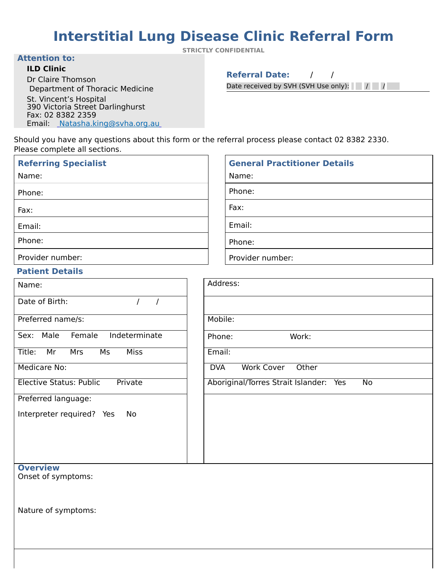# **Interstitial Lung Disease Clinic Referral Form**

**STRICTLY CONFIDENTIAL** 

 $\Gamma$ 

#### **Attention to:**

### **ILD Clinic**

Dr Claire Thomson Department of Thoracic Medicine

St. Vincent's Hospital 390 Victoria Street Darlinghurst Fax: 02 8382 2359 Email: [Natasha.king@svha.org.au](mailto:Natasha.king@svha.org.au) **Referral Date:** / /

Date received by SVH (SVH Use only): / / 

Should you have any questions about this form or the referral process please contact 02 8382 2330. Please complete all sections.

| Name:                                                  | Address:                                  |
|--------------------------------------------------------|-------------------------------------------|
| Date of Birth:                                         |                                           |
| Preferred name/s:                                      | Mobile:                                   |
| Female<br>Indeterminate<br>Sex:<br>Male                | Work:<br>Phone:                           |
| <b>Miss</b><br>Title:<br>Mr<br><b>Mrs</b><br><b>Ms</b> | Email:                                    |
| <b>Medicare No:</b>                                    | <b>Work Cover</b><br><b>DVA</b><br>Other  |
| <b>Elective Status: Public</b><br>Private              | Aboriginal/Torres Strait Islander:<br>Yes |
| Preferred language:                                    |                                           |
| Interpreter required? Yes<br>No.                       |                                           |

| <b>Referring Specialist</b> | <b>General Practitioner Details</b> |
|-----------------------------|-------------------------------------|
| Name:                       | Name:                               |
| Phone:                      | Phone:                              |
| Fax:                        | Fax:                                |
| Email:                      | Email:                              |
| Phone:                      | Phone:                              |
| Provider number:            | Provider number:                    |

| Name:                                     | Address:                                               |
|-------------------------------------------|--------------------------------------------------------|
| Date of Birth:                            |                                                        |
| Preferred name/s:                         | Mobile:                                                |
| Sex: Male<br>Indeterminate<br>Female      | Work:<br>Phone:                                        |
| Title:<br><b>Miss</b><br>Mr<br>Mrs<br>Ms  | Email:                                                 |
| <b>Medicare No:</b>                       | <b>Work Cover</b><br>Other<br><b>DVA</b>               |
| <b>Elective Status: Public</b><br>Private | Aboriginal/Torres Strait Islander:<br><b>No</b><br>Yes |
| Preferred language:                       |                                                        |
| Interpreter required? Yes<br>No           |                                                        |

## **Referring Specialist**

### **Overview**  Onset of symptoms:

Nature of symptoms:

## **Patient Details**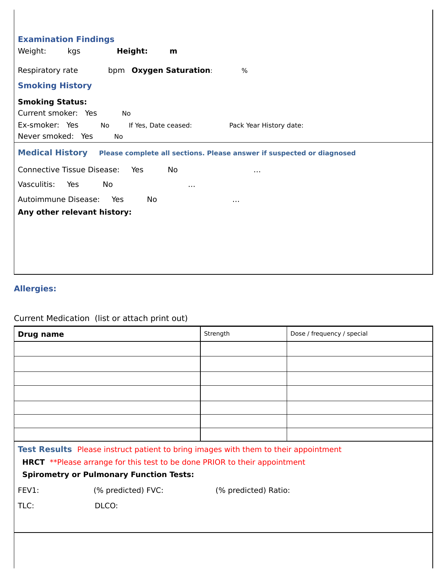| <b>Medical History</b><br>Please complete all sections. Please answer if suspected or diagnosed |  |  |  |  |
|-------------------------------------------------------------------------------------------------|--|--|--|--|
|                                                                                                 |  |  |  |  |
|                                                                                                 |  |  |  |  |
|                                                                                                 |  |  |  |  |
|                                                                                                 |  |  |  |  |
|                                                                                                 |  |  |  |  |
|                                                                                                 |  |  |  |  |
|                                                                                                 |  |  |  |  |
|                                                                                                 |  |  |  |  |
|                                                                                                 |  |  |  |  |
|                                                                                                 |  |  |  |  |

# **Allergies:**

Current Medication (list or attach print out)

TLC: BLCO: **DLCO:** 

| <b>Drug name</b> | Strength | Dose / frequency / special |
|------------------|----------|----------------------------|
|                  |          |                            |
|                  |          |                            |
|                  |          |                            |
|                  |          |                            |
|                  |          |                            |
|                  |          |                            |
|                  |          |                            |
|                  |          |                            |

**Test Results** Please instruct patient to bring images with them to their appointment HRCT \*\*Please arrange for this test to be done PRIOR to their appointment **Spirometry or Pulmonary Function Tests:** FEV1: (% predicted) FVC: (% predicted) Ratio: